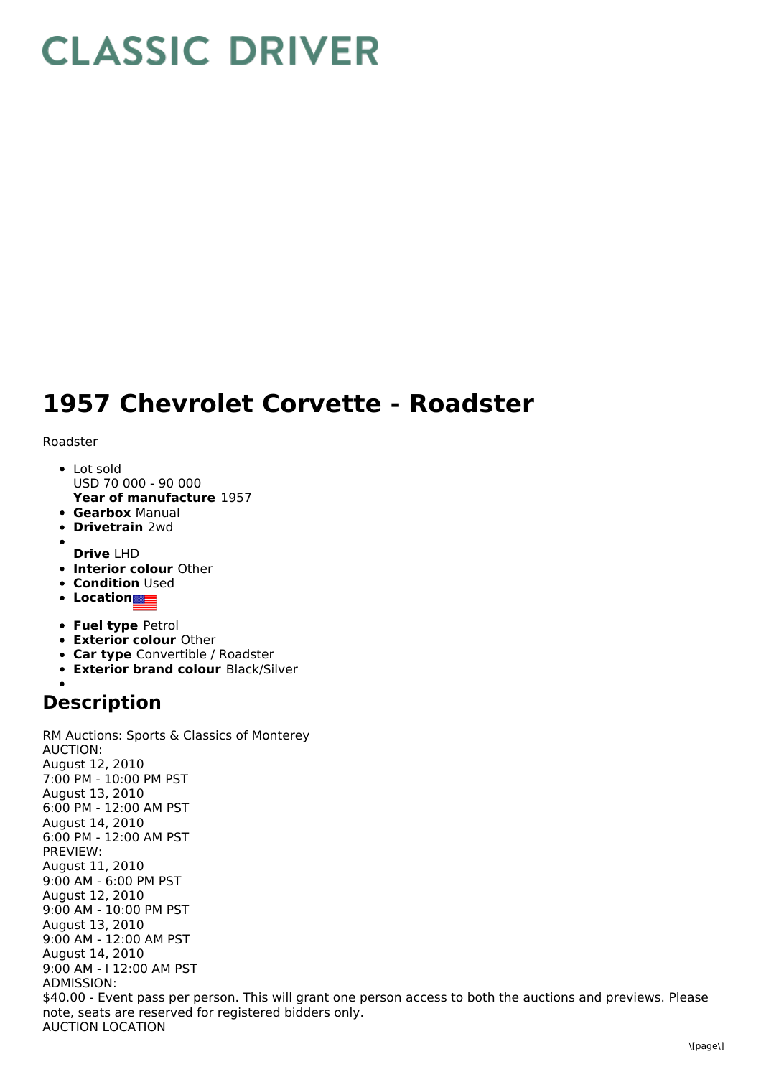## **CLASSIC DRIVER**

## **1957 Chevrolet Corvette - Roadster**

Roadster

- **Year of manufacture** 1957 Lot sold USD 70 000 - 90 000
- **Gearbox** Manual
- **Drivetrain** 2wd
- 
- **Drive** LHD
- **Interior colour** Other
- **Condition Used**
- **Location**
- **Fuel type** Petrol
- **Exterior colour** Other
- **Car type** Convertible / Roadster
- **Exterior brand colour** Black/Silver

## **Description**

RM Auctions: Sports & Classics of Monterey AUCTION: August 12, 2010 7:00 PM - 10:00 PM PST August 13, 2010 6:00 PM - 12:00 AM PST August 14, 2010 6:00 PM - 12:00 AM PST PREVIEW: August 11, 2010 9:00 AM - 6:00 PM PST August 12, 2010 9:00 AM - 10:00 PM PST August 13, 2010 9:00 AM - 12:00 AM PST August 14, 2010 9:00 AM - l 12:00 AM PST ADMISSION: \$40.00 - Event pass per person. This will grant one person access to both the auctions and previews. Please note, seats are reserved for registered bidders only. AUCTION LOCATION